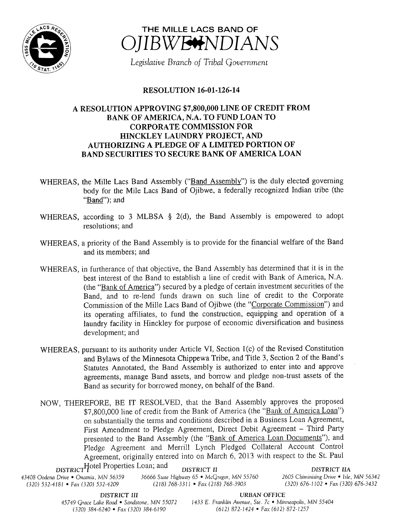



Legislative Branch of Tribal Government

## **RESOLUTION 16-01-126-14**

## A RESOLUTION APPROVING \$7,800,000 LINE OF CREDIT FROM BANK OF AMERICA, N.A. TO FUND LOAN TO CORPORATE COMMISSION FOR HINCKLEY LAUNDRY PROJECT, AND AUTHORIZING A PLEDGE OF A LIMITED PORTION OF BAND SECURITIES TO SECURE BANK OF AMERICA LOAN

- WHEREAS, the Mille Lacs Band Assembly ("Band Assembly") is the duly elected governing body for the Mile Lacs Band of Ojibwe, a federally recognized Indian tribe (the "Band"); and
- WHEREAS, according to 3 MLBSA  $\S$  2(d), the Band Assembly is empowered to adopt resolutions; and
- WHEREAS, a priority of the Band Assembly is to provide for the financial welfare of the Band and its members; and
- WHEREAS, in furtherance of that objective, the Band Assembly has determined that it is in the best interest of the Band to establish <sup>a</sup> line of credit with Bank of America, N.A. (the "Bank of America") secured by a pledge of certain investment securities of the Band, and to re-lend funds drawn on such line of credit to the Corporate Commission of the Mille Lacs Band of Ojibwe (the "Corporate Commission") and its operating affiliates, to fund the construction, equipping and operation of <sup>a</sup> laundry facility in Hinckley for purpose of economic diversification and business development; and
- WHEREAS, pursuant to its authority under Article VI, Section 1(c) of the Revised Constitution and Bylaws of the Minnesota Chippewa Tribe, and Title 3, Section 2 of the Band' <sup>s</sup> Statutes Annotated, the Band Assembly is authorized to enter into and approve agreements, manage Band assets, and borrow and pledge non-trust assets of the Band as security for borrowed money, on behalf of the Band.
- NOW, THEREFORE, BE IT RESOLVED, that the Band Assembly approves the proposed \$7,800,000 line of credit from the Bank of America (the "Bank of America Loan") on substantially the terms and conditions described in a Business Loan Agreement, First Amendment to Pledge Agreement, Direct Debit Agreement — Third Party presented to the Band Assembly (the "Bank of America Loan Documents"), and Pledge Agreement and Merrill Lynch Pledged Collateral Account Control Agreement, originally entered into on March 6, 2013 with respect to the St. Paul

 $_{\rm DISTRICT}$ Hotel Properties Loan; and DISTRICT II DISTRICT IIA 43408 Oodena Drive • Onamia, MN 56359 36666 State Highway 65 • McGregor, MN 55760 2605 Chiminising Drive <sup>6</sup> Isle, MN 56342 (320) 532-4181 • Fax( 320) 532-4209

DISTRICT III URBAN OFFICE

45749 Grace Lake Road • Sandstone, MN 55072 1433 E. Franklin Avenue, Ste. 7c • Minneapolis, MN 55404 320) 384- 6240 • Fax( 320) 384- 6190 612) 872- 1424 • Fax( 612) 872- 1257